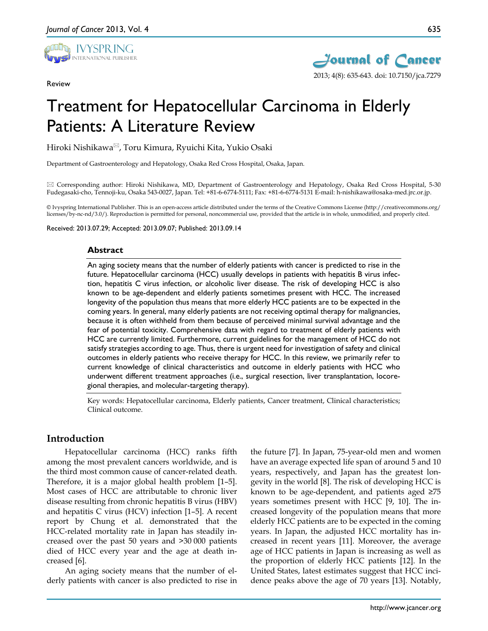

Review



# Treatment for Hepatocellular Carcinoma in Elderly Patients: A Literature Review

Hiroki Nishikawa<sup>⊠</sup>, Toru Kimura, Ryuichi Kita, Yukio Osaki

Department of Gastroenterology and Hepatology, Osaka Red Cross Hospital, Osaka, Japan.

 Corresponding author: Hiroki Nishikawa, MD, Department of Gastroenterology and Hepatology, Osaka Red Cross Hospital, 5-30 Fudegasaki-cho, Tennoji-ku, Osaka 543-0027, Japan. Tel: +81-6-6774-5111; Fax: +81-6-6774-5131 E-mail: h-nishikawa@osaka-med.jrc.or.jp.

© Ivyspring International Publisher. This is an open-access article distributed under the terms of the Creative Commons License (http://creativecommons.org/ licenses/by-nc-nd/3.0/). Reproduction is permitted for personal, noncommercial use, provided that the article is in whole, unmodified, and properly cited.

Received: 2013.07.29; Accepted: 2013.09.07; Published: 2013.09.14

#### **Abstract**

An aging society means that the number of elderly patients with cancer is predicted to rise in the future. Hepatocellular carcinoma (HCC) usually develops in patients with hepatitis B virus infection, hepatitis C virus infection, or alcoholic liver disease. The risk of developing HCC is also known to be age-dependent and elderly patients sometimes present with HCC. The increased longevity of the population thus means that more elderly HCC patients are to be expected in the coming years. In general, many elderly patients are not receiving optimal therapy for malignancies, because it is often withheld from them because of perceived minimal survival advantage and the fear of potential toxicity. Comprehensive data with regard to treatment of elderly patients with HCC are currently limited. Furthermore, current guidelines for the management of HCC do not satisfy strategies according to age. Thus, there is urgent need for investigation of safety and clinical outcomes in elderly patients who receive therapy for HCC. In this review, we primarily refer to current knowledge of clinical characteristics and outcome in elderly patients with HCC who underwent different treatment approaches (i.e., surgical resection, liver transplantation, locoregional therapies, and molecular-targeting therapy).

Key words: Hepatocellular carcinoma, Elderly patients, Cancer treatment, Clinical characteristics; Clinical outcome.

## **Introduction**

Hepatocellular carcinoma (HCC) ranks fifth among the most prevalent cancers worldwide, and is the third most common cause of cancer-related death. Therefore, it is a major global health problem [1–5]. Most cases of HCC are attributable to chronic liver disease resulting from chronic hepatitis B virus (HBV) and hepatitis C virus (HCV) infection [1–5]. A recent report by Chung et al. demonstrated that the HCC-related mortality rate in Japan has steadily increased over the past 50 years and >30 000 patients died of HCC every year and the age at death increased [6].

An aging society means that the number of elderly patients with cancer is also predicted to rise in the future [7]. In Japan, 75-year-old men and women have an average expected life span of around 5 and 10 years, respectively, and Japan has the greatest longevity in the world [8]. The risk of developing HCC is known to be age-dependent, and patients aged ≥75 years sometimes present with HCC [9, 10]. The increased longevity of the population means that more elderly HCC patients are to be expected in the coming years. In Japan, the adjusted HCC mortality has increased in recent years [11]. Moreover, the average age of HCC patients in Japan is increasing as well as the proportion of elderly HCC patients [12]. In the United States, latest estimates suggest that HCC incidence peaks above the age of 70 years [13]. Notably,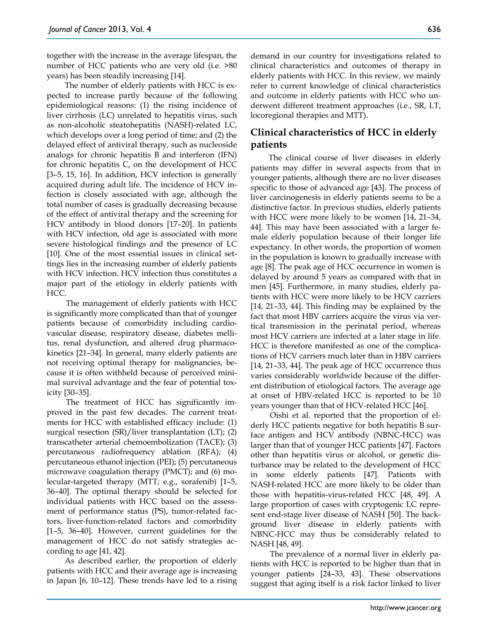together with the increase in the average lifespan, the number of HCC patients who are very old (i.e. >80 years) has been steadily increasing [14].

The number of elderly patients with HCC is expected to increase partly because of the following epidemiological reasons: (1) the rising incidence of liver cirrhosis (LC) unrelated to hepatitis virus, such as non-alcoholic steatohepatitis (NASH)-related LC, which develops over a long period of time; and (2) the delayed effect of antiviral therapy, such as nucleoside analogs for chronic hepatitis B and interferon (IFN) for chronic hepatitis C, on the development of HCC [3–5, 15, 16]. In addition, HCV infection is generally acquired during adult life. The incidence of HCV infection is closely associated with age, although the total number of cases is gradually decreasing because of the effect of antiviral therapy and the screening for HCV antibody in blood donors [17–20]. In patients with HCV infection, old age is associated with more severe histological findings and the presence of LC [10]. One of the most essential issues in clinical settings lies in the increasing number of elderly patients with HCV infection. HCV infection thus constitutes a major part of the etiology in elderly patients with HCC.

The management of elderly patients with HCC is significantly more complicated than that of younger patients because of comorbidity including cardiovascular disease, respiratory disease, diabetes mellitus, renal dysfunction, and altered drug pharmacokinetics [21–34]. In general, many elderly patients are not receiving optimal therapy for malignancies, because it is often withheld because of perceived minimal survival advantage and the fear of potential toxicity [30–35].

The treatment of HCC has significantly improved in the past few decades. The current treatments for HCC with established efficacy include: (1) surgical resection (SR)/liver transplantation (LT); (2) transcatheter arterial chemoembolization (TACE); (3) percutaneous radiofrequency ablation (RFA); (4) percutaneous ethanol injection (PEI); (5) percutaneous microwave coagulation therapy (PMCT); and (6) molecular-targeted therapy (MTT; e.g., sorafenib) [1–5, 36–40]. The optimal therapy should be selected for individual patients with HCC based on the assessment of performance status (PS), tumor-related factors, liver-function-related factors and comorbidity [1–5, 36–40]. However, current guidelines for the management of HCC do not satisfy strategies according to age [41, 42].

As described earlier, the proportion of elderly patients with HCC and their average age is increasing in Japan [6, 10–12]. These trends have led to a rising demand in our country for investigations related to clinical characteristics and outcomes of therapy in elderly patients with HCC. In this review, we mainly refer to current knowledge of clinical characteristics and outcome in elderly patients with HCC who underwent different treatment approaches (i.e., SR, LT, locoregional therapies and MTT).

## **Clinical characteristics of HCC in elderly patients**

The clinical course of liver diseases in elderly patients may differ in several aspects from that in younger patients, although there are no liver diseases specific to those of advanced age [43]. The process of liver carcinogenesis in elderly patients seems to be a distinctive factor. In previous studies, elderly patients with HCC were more likely to be women [14, 21–34, 44]. This may have been associated with a larger female elderly population because of their longer life expectancy. In other words, the proportion of women in the population is known to gradually increase with age [8]. The peak age of HCC occurrence in women is delayed by around 5 years as compared with that in men [45]. Furthermore, in many studies, elderly patients with HCC were more likely to be HCV carriers [14, 21–33, 44]. This finding may be explained by the fact that most HBV carriers acquire the virus via vertical transmission in the perinatal period, whereas most HCV carriers are infected at a later stage in life. HCC is therefore manifested as one of the complications of HCV carriers much later than in HBV carriers [14, 21–33, 44]. The peak age of HCC occurrence thus varies considerably worldwide because of the different distribution of etiological factors. The average age at onset of HBV-related HCC is reported to be 10 years younger than that of HCV-related HCC [46].

Oishi et al. reported that the proportion of elderly HCC patients negative for both hepatitis B surface antigen and HCV antibody (NBNC-HCC) was larger than that of younger HCC patients [47]. Factors other than hepatitis virus or alcohol, or genetic disturbance may be related to the development of HCC in some elderly patients [47]. Patients with NASH-related HCC are more likely to be older than those with hepatitis-virus-related HCC [48, 49]. A large proportion of cases with cryptogenic LC represent end-stage liver disease of NASH [50]. The background liver disease in elderly patients with NBNC-HCC may thus be considerably related to NASH [48, 49].

The prevalence of a normal liver in elderly patients with HCC is reported to be higher than that in younger patients [24–33, 43]. These observations suggest that aging itself is a risk factor linked to liver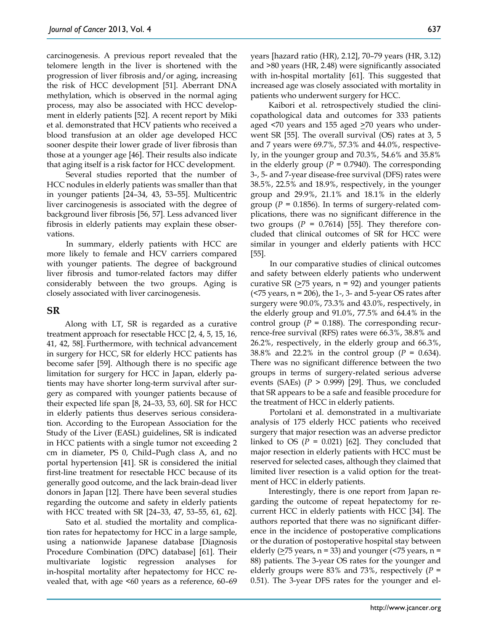carcinogenesis. A previous report revealed that the telomere length in the liver is shortened with the progression of liver fibrosis and/or aging, increasing the risk of HCC development [51]. Aberrant DNA methylation, which is observed in the normal aging process, may also be associated with HCC development in elderly patients [52]. A recent report by Miki et al. demonstrated that HCV patients who received a blood transfusion at an older age developed HCC sooner despite their lower grade of liver fibrosis than those at a younger age [46]. Their results also indicate that aging itself is a risk factor for HCC development.

Several studies reported that the number of HCC nodules in elderly patients was smaller than that in younger patients [24–34, 43, 53–55]. Multicentric liver carcinogenesis is associated with the degree of background liver fibrosis [56, 57]. Less advanced liver fibrosis in elderly patients may explain these observations.

In summary, elderly patients with HCC are more likely to female and HCV carriers compared with younger patients. The degree of background liver fibrosis and tumor-related factors may differ considerably between the two groups. Aging is closely associated with liver carcinogenesis.

## **SR**

Along with LT, SR is regarded as a curative treatment approach for resectable HCC [2, 4, 5, 15, 16, 41, 42, 58]. Furthermore, with technical advancement in surgery for HCC, SR for elderly HCC patients has become safer [59]. Although there is no specific age limitation for surgery for HCC in Japan, elderly patients may have shorter long-term survival after surgery as compared with younger patients because of their expected life span [8, 24–33, 53, 60]. SR for HCC in elderly patients thus deserves serious consideration. According to the European Association for the Study of the Liver (EASL) guidelines, SR is indicated in HCC patients with a single tumor not exceeding 2 cm in diameter, PS 0, Child–Pugh class A, and no portal hypertension [41]. SR is considered the initial first-line treatment for resectable HCC because of its generally good outcome, and the lack brain-dead liver donors in Japan [12]. There have been several studies regarding the outcome and safety in elderly patients with HCC treated with SR [24–33, 47, 53–55, 61, 62].

Sato et al. studied the mortality and complication rates for hepatectomy for HCC in a large sample, using a nationwide Japanese database [Diagnosis Procedure Combination (DPC) database] [61]. Their multivariate logistic regression analyses for in-hospital mortality after hepatectomy for HCC revealed that, with age <60 years as a reference, 60–69 years [hazard ratio (HR), 2.12], 70–79 years (HR, 3.12) and >80 years (HR, 2.48) were significantly associated with in-hospital mortality [61]. This suggested that increased age was closely associated with mortality in patients who underwent surgery for HCC.

Kaibori et al. retrospectively studied the clinicopathological data and outcomes for 333 patients aged  $\leq$ 70 years and 155 aged  $\geq$ 70 years who underwent SR [55]. The overall survival (OS) rates at 3, 5 and 7 years were 69.7%, 57.3% and 44.0%, respectively, in the younger group and 70.3%, 54.6% and 35.8% in the elderly group ( $P = 0.7940$ ). The corresponding 3-, 5- and 7-year disease-free survival (DFS) rates were 38.5%, 22.5% and 18.9%, respectively, in the younger group and 29.9%, 21.1% and 18.1% in the elderly group ( $P = 0.1856$ ). In terms of surgery-related complications, there was no significant difference in the two groups  $(P = 0.7614)$  [55]. They therefore concluded that clinical outcomes of SR for HCC were similar in younger and elderly patients with HCC [55].

In our comparative studies of clinical outcomes and safety between elderly patients who underwent curative SR  $(≥75$  years, n = 92) and younger patients  $($ surgery were 90.0%, 73.3% and 43.0%, respectively, in the elderly group and 91.0%, 77.5% and 64.4% in the control group ( $P = 0.188$ ). The corresponding recurrence-free survival (RFS) rates were 66.3%, 38.8% and 26.2%, respectively, in the elderly group and 66.3%, 38.8% and 22.2% in the control group (*P* = 0.634). There was no significant difference between the two groups in terms of surgery-related serious adverse events (SAEs)  $(P > 0.999)$  [29]. Thus, we concluded that SR appears to be a safe and feasible procedure for the treatment of HCC in elderly patients.

Portolani et al. demonstrated in a multivariate analysis of 175 elderly HCC patients who received surgery that major resection was an adverse predictor linked to OS  $(P = 0.021)$  [62]. They concluded that major resection in elderly patients with HCC must be reserved for selected cases, although they claimed that limited liver resection is a valid option for the treatment of HCC in elderly patients.

Interestingly, there is one report from Japan regarding the outcome of repeat hepatectomy for recurrent HCC in elderly patients with HCC [34]. The authors reported that there was no significant difference in the incidence of postoperative complications or the duration of postoperative hospital stay between elderly  $(≥75$  years, n = 33) and younger (<75 years, n = 88) patients. The 3-year OS rates for the younger and elderly groups were 83% and 73%, respectively (*P* = 0.51). The 3-year DFS rates for the younger and el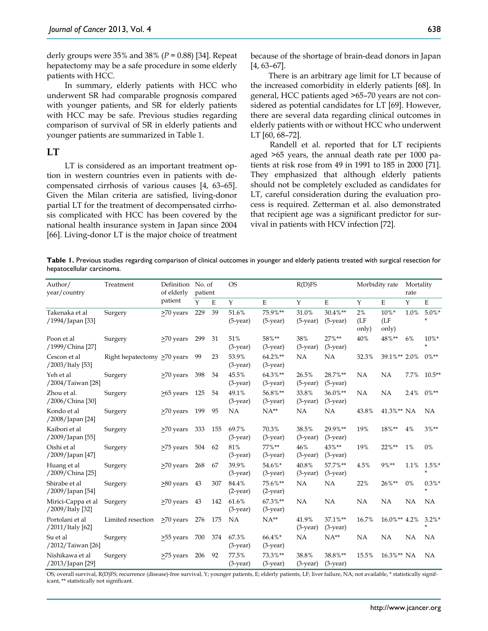derly groups were 35% and 38% (*P* = 0.88) [34]. Repeat hepatectomy may be a safe procedure in some elderly patients with HCC.

In summary, elderly patients with HCC who underwent SR had comparable prognosis compared with younger patients, and SR for elderly patients with HCC may be safe. Previous studies regarding comparison of survival of SR in elderly patients and younger patients are summarized in Table 1.

## **LT**

LT is considered as an important treatment option in western countries even in patients with decompensated cirrhosis of various causes [4, 63–65]. Given the Milan criteria are satisfied, living-donor partial LT for the treatment of decompensated cirrhosis complicated with HCC has been covered by the national health insurance system in Japan since 2004 [66]. Living-donor LT is the major choice of treatment because of the shortage of brain-dead donors in Japan [4, 63–67].

There is an arbitrary age limit for LT because of the increased comorbidity in elderly patients [68]. In general, HCC patients aged >65–70 years are not considered as potential candidates for LT [69]. However, there are several data regarding clinical outcomes in elderly patients with or without HCC who underwent LT [60, 68–72].

Randell et al. reported that for LT recipients aged >65 years, the annual death rate per 1000 patients at risk rose from 49 in 1991 to 185 in 2000 [71]. They emphasized that although elderly patients should not be completely excluded as candidates for LT, careful consideration during the evaluation process is required. Zetterman et al. also demonstrated that recipient age was a significant predictor for survival in patients with HCV infection [72].

**Table 1.** Previous studies regarding comparison of clinical outcomes in younger and elderly patients treated with surgical resection for hepatocellular carcinoma.

| Author/<br>year/country                | Treatment                   | Definition No. of     | patient |     | <b>OS</b>            |                         | R(D)FS               |                              | Morbidity rate      |                          | Mortality<br>rate |                      |
|----------------------------------------|-----------------------------|-----------------------|---------|-----|----------------------|-------------------------|----------------------|------------------------------|---------------------|--------------------------|-------------------|----------------------|
|                                        |                             | of elderly<br>patient |         |     |                      |                         |                      |                              |                     |                          |                   |                      |
|                                        |                             |                       | Y       | E   | Y                    | $\mathbf E$             | Y                    | $\mathbf E$                  | Y                   | E                        | Y                 | $\mathbf E$          |
| Takenaka et al<br>/1994/Japan [33]     | Surgery                     | >70 years             | 229     | 39  | 51.6%<br>$(5-year)$  | 75.9%**<br>$(5-year)$   | 31.0%<br>$(5-year)$  | $30.4\%**$<br>$(5$ -year $)$ | 2%<br>(LF)<br>only) | $10\%*$<br>(LF)<br>only) | 1.0%              | $5.0\%*$             |
| Poon et al<br>/1999/China [27]         | Surgery                     | >70 years             | 299     | 31  | 51%<br>$(3-year)$    | 58%**<br>$(3-year)$     | 38%<br>$(3-year)$    | $27\%**$<br>$(3$ -year)      | 40%                 | 48%**                    | 6%                | $10\%*$              |
| Cescon et al<br>/2003/Italy [53]       | Right hepatectomy >70 years |                       | 99      | 23  | 53.9%<br>$(3-year)$  | 64.2%**<br>$(3-year)$   | <b>NA</b>            | NA                           | 32.3%               | 39.1%** 2.0%             |                   | $0\%**$              |
| Yeh et al<br>/2004/Taiwan [28]         | Surgery                     | >70 years             | 398     | 34  | 45.5%<br>$(3-year)$  | 64.3%**<br>$(3-year)$   | 26.5%<br>$(5-year)$  | 28.7%**<br>$(5-year)$        | NA                  | NA                       | 7.7%              | $10.5**$             |
| Zhou et al.<br>/2006/China [30]        | Surgery                     | $\geq 65$ years 125   |         | 54  | 49.1%<br>$(3$ -year) | 56.8%**<br>$(3-year)$   | 33.8%<br>$(3-year)$  | 36.0%**<br>$(3-year)$        | <b>NA</b>           | NA                       | 2.4%              | $0\%**$              |
| Kondo et al<br>/2008/Japan [24]        | Surgery                     | >70 years             | 199     | 95  | NA                   | $NA**$                  | <b>NA</b>            | <b>NA</b>                    | 43.8%               | 41.3%** NA               |                   | <b>NA</b>            |
| Kaibori et al<br>/2009/Japan [55]      | Surgery                     | >70 years             | 333     | 155 | 69.7%<br>$(3$ -year) | 70.3%<br>$(3$ -year)    | 38.5%<br>$(3-year)$  | 29.9%**<br>$(3$ -year)       | 19%                 | 18%**                    | 4%                | $3\%**$              |
| Oishi et al<br>/2009/Japan [47]        | Surgery                     | >75 years             | 504     | 62  | 81%<br>$(3$ -year)   | $77\%**$<br>$(3$ -year) | 46%<br>$(3-year)$    | $43\%**$<br>$(3$ -year)      | 19%                 | $22\%**$                 | $1\%$             | 0%                   |
| Huang et al<br>/2009/China [25]        | Surgery                     | >70 years             | 268     | 67  | 39.9%<br>$(3-year)$  | 54.6%*<br>$(3-year)$    | 40.8%<br>$(3-year)$  | 57.7%**<br>$(3-year)$        | 4.5%                | 9%**                     | 1.1%              | $1.5%$ *<br>$\ast$   |
| Shirabe et al<br>/2009/Japan [54]      | Surgery                     | >80 years             | 43      | 307 | 84.4%<br>$(2-year)$  | 75.6%**<br>$(2-year)$   | <b>NA</b>            | NA                           | 22%                 | 26%**                    | 0%                | $0.3\%*$<br>$\star$  |
| Mirici-Cappa et al<br>/2009/Italy [32] | Surgery                     | >70 years             | 43      | 142 | 61.6%<br>$(3-year)$  | 67.3%**<br>$(3-year)$   | <b>NA</b>            | NA                           | NA                  | NA                       | <b>NA</b>         | <b>NA</b>            |
| Portolani et al<br>/2011/Italy [62]    | Limited resection           | >70 years             | 276     | 175 | NA                   | $NA**$                  | 41.9%<br>$(3-year)$  | 37.1%**<br>$(3-year)$        | 16.7%               | 16.0%** 4.2%             |                   | $3.2\%$ *<br>$\star$ |
| Su et al<br>/2012/Taiwan [26]          | Surgery                     | >55 years             | 700     | 374 | 67.3%<br>$(3-year)$  | 66.4%*<br>$(3-year)$    | <b>NA</b>            | $NA**$                       | NA                  | NA                       | NA                | <b>NA</b>            |
| Nishikawa et al<br>/2013/Japan [29]    | Surgery                     | >75 years             | 206     | 92  | 77.5%<br>$(3$ -year) | 73.3%**<br>$(3$ -year)  | 38.8%<br>$(3$ -year) | 38.8%**<br>$(3$ -year)       | 15.5%               | 16.3%** NA               |                   | NA                   |

OS; overall survival, R(D)FS; recurrence (disease)-free survival, Y; younger patients, E; elderly patients, LF; liver failure, NA; not available, \* statistically significant, \*\* statistically not significant.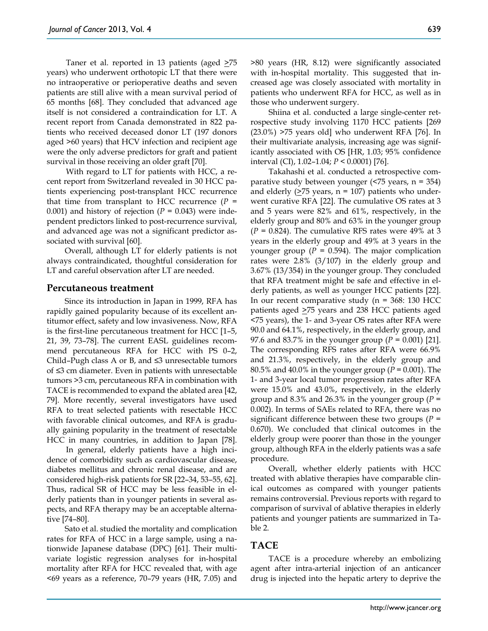Taner et al. reported in 13 patients (aged  $\geq 75$ years) who underwent orthotopic LT that there were no intraoperative or perioperative deaths and seven patients are still alive with a mean survival period of 65 months [68]. They concluded that advanced age itself is not considered a contraindication for LT. A recent report from Canada demonstrated in 822 patients who received deceased donor LT (197 donors aged >60 years) that HCV infection and recipient age were the only adverse predictors for graft and patient survival in those receiving an older graft [70].

With regard to LT for patients with HCC, a recent report from Switzerland revealed in 30 HCC patients experiencing post-transplant HCC recurrence that time from transplant to HCC recurrence  $(P =$ 0.001) and history of rejection  $(P = 0.043)$  were independent predictors linked to post-recurrence survival, and advanced age was not a significant predictor associated with survival [60].

Overall, although LT for elderly patients is not always contraindicated, thoughtful consideration for LT and careful observation after LT are needed.

#### **Percutaneous treatment**

Since its introduction in Japan in 1999, RFA has rapidly gained popularity because of its excellent antitumor effect, safety and low invasiveness. Now, RFA is the first-line percutaneous treatment for HCC [1–5, 21, 39, 73–78]. The current EASL guidelines recommend percutaneous RFA for HCC with PS 0–2, Child–Pugh class A or B, and ≤3 unresectable tumors of ≤3 cm diameter. Even in patients with unresectable tumors >3 cm, percutaneous RFA in combination with TACE is recommended to expand the ablated area [42, 79]. More recently, several investigators have used RFA to treat selected patients with resectable HCC with favorable clinical outcomes, and RFA is gradually gaining popularity in the treatment of resectable HCC in many countries, in addition to Japan [78].

In general, elderly patients have a high incidence of comorbidity such as cardiovascular disease, diabetes mellitus and chronic renal disease, and are considered high-risk patients for SR [22–34, 53–55, 62]. Thus, radical SR of HCC may be less feasible in elderly patients than in younger patients in several aspects, and RFA therapy may be an acceptable alternative [74–80].

Sato et al. studied the mortality and complication rates for RFA of HCC in a large sample, using a nationwide Japanese database (DPC) [61]. Their multivariate logistic regression analyses for in-hospital mortality after RFA for HCC revealed that, with age <69 years as a reference, 70–79 years (HR, 7.05) and >80 years (HR, 8.12) were significantly associated with in-hospital mortality. This suggested that increased age was closely associated with mortality in patients who underwent RFA for HCC, as well as in those who underwent surgery.

Shiina et al. conducted a large single-center retrospective study involving 1170 HCC patients [269 (23.0%) >75 years old] who underwent RFA [76]. In their multivariate analysis, increasing age was significantly associated with OS [HR, 1.03; 95% confidence interval (CI), 1.02–1.04; *P* < 0.0001) [76].

Takahashi et al. conducted a retrospective comparative study between younger  $($ <75 years, n = 354) and elderly  $(≥75 \text{ years}, n = 107)$  patients who underwent curative RFA [22]. The cumulative OS rates at 3 and 5 years were 82% and 61%, respectively, in the elderly group and 80% and 63% in the younger group  $(P = 0.824)$ . The cumulative RFS rates were 49% at 3 years in the elderly group and 49% at 3 years in the younger group ( $P = 0.594$ ). The major complication rates were 2.8% (3/107) in the elderly group and 3.67% (13/354) in the younger group. They concluded that RFA treatment might be safe and effective in elderly patients, as well as younger HCC patients [22]. In our recent comparative study ( $n = 368$ : 130 HCC patients aged >75 years and 238 HCC patients aged <75 years), the 1- and 3-year OS rates after RFA were 90.0 and 64.1%, respectively, in the elderly group, and 97.6 and 83.7% in the younger group (*P* = 0.001) [21]. The corresponding RFS rates after RFA were 66.9% and 21.3%, respectively, in the elderly group and 80.5% and 40.0% in the younger group (*P* = 0.001). The 1- and 3-year local tumor progression rates after RFA were 15.0% and 43.0%, respectively, in the elderly group and 8.3% and 26.3% in the younger group ( *=* 0.002). In terms of SAEs related to RFA, there was no significant difference between these two groups (*P* = 0.670). We concluded that clinical outcomes in the elderly group were poorer than those in the younger group, although RFA in the elderly patients was a safe procedure.

Overall, whether elderly patients with HCC treated with ablative therapies have comparable clinical outcomes as compared with younger patients remains controversial. Previous reports with regard to comparison of survival of ablative therapies in elderly patients and younger patients are summarized in Table 2.

## **TACE**

TACE is a procedure whereby an embolizing agent after intra-arterial injection of an anticancer drug is injected into the hepatic artery to deprive the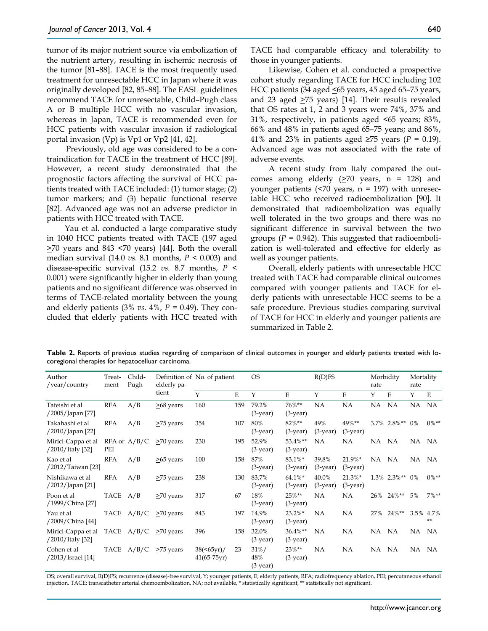tumor of its major nutrient source via embolization of the nutrient artery, resulting in ischemic necrosis of the tumor [81–88]. TACE is the most frequently used treatment for unresectable HCC in Japan where it was originally developed [82, 85–88]. The EASL guidelines recommend TACE for unresectable, Child–Pugh class A or B multiple HCC with no vascular invasion, whereas in Japan, TACE is recommended even for HCC patients with vascular invasion if radiological portal invasion (Vp) is Vp1 or Vp2 [41, 42].

Previously, old age was considered to be a contraindication for TACE in the treatment of HCC [89]. However, a recent study demonstrated that the prognostic factors affecting the survival of HCC patients treated with TACE included: (1) tumor stage; (2) tumor markers; and (3) hepatic functional reserve [82]. Advanced age was not an adverse predictor in patients with HCC treated with TACE.

Yau et al. conducted a large comparative study in 1040 HCC patients treated with TACE (197 aged  $\geq$ 70 years and 843 <70 years) [44]. Both the overall median survival (14.0 *vs.* 8.1 months, *P* < 0.003) and disease-specific survival (15.2 *vs.* 8.7 months, *P* < 0.001) were significantly higher in elderly than young patients and no significant difference was observed in terms of TACE-related mortality between the young and elderly patients (3% *vs.* 4%, *P* = 0.49). They concluded that elderly patients with HCC treated with TACE had comparable efficacy and tolerability to those in younger patients.

Likewise, Cohen et al. conducted a prospective cohort study regarding TACE for HCC including 102 HCC patients (34 aged <65 years, 45 aged 65–75 years, and 23 aged  $\geq$ 75 years) [14]. Their results revealed that OS rates at 1, 2 and 3 years were 74%, 37% and 31%, respectively, in patients aged <65 years; 83%, 66% and 48% in patients aged 65–75 years; and 86%, 41% and 23% in patients aged ≥75 years ( $P = 0.19$ ). Advanced age was not associated with the rate of adverse events.

A recent study from Italy compared the outcomes among elderly  $(≥70 \text{ years}, n = 128)$  and younger patients ( $\leq 70$  years,  $n = 197$ ) with unresectable HCC who received radioembolization [90]. It demonstrated that radioembolization was equally well tolerated in the two groups and there was no significant difference in survival between the two groups ( $P = 0.942$ ). This suggested that radioembolization is well-tolerated and effective for elderly as well as younger patients.

Overall, elderly patients with unresectable HCC treated with TACE had comparable clinical outcomes compared with younger patients and TACE for elderly patients with unresectable HCC seems to be a safe procedure. Previous studies comparing survival of TACE for HCC in elderly and younger patients are summarized in Table 2.

**Table 2.** Reports of previous studies regarding of comparison of clinical outcomes in younger and elderly patients treated with locoregional therapies for hepatocelluar carcinoma.

| Author<br>/year/country                | Treat-<br>ment | Child-<br>Pugh   | elderly pa-<br>tient | Definition of No. of patient            |     | <b>OS</b>                    |                          | R(D)FS               |                          | Morbidity<br>rate |                | Mortality<br>rate |           |
|----------------------------------------|----------------|------------------|----------------------|-----------------------------------------|-----|------------------------------|--------------------------|----------------------|--------------------------|-------------------|----------------|-------------------|-----------|
|                                        |                |                  |                      | Y                                       | Ε   | Y                            | E                        | Y                    | Ε                        | Y                 | Ε              | Y                 | E         |
| Tateishi et al<br>/2005/Japan [77]     | <b>RFA</b>     | A/B              | >68 years            | 160                                     | 159 | 79.2%<br>$(3-year)$          | 76%**<br>$(3$ -year)     | <b>NA</b>            | <b>NA</b>                | NA.               | <b>NA</b>      | NA                | <b>NA</b> |
| Takahashi et al<br>/2010/Japan [22]    | <b>RFA</b>     | A/B              | >75 years            | 354                                     | 107 | 80%<br>$(3$ -year)           | 82%**<br>$(3-year)$      | 49%<br>$(3-year)$    | 49%**<br>$(3-year)$      |                   | 3.7% 2.8%** 0% |                   | $0\%**$   |
| Mirici-Cappa et al<br>/2010/Italy [32] | PEI            | $RFA$ or $A/B/C$ | >70 years            | 230                                     | 195 | 52.9%<br>$(3-year)$          | 53.4%**<br>$(3$ -year)   | <b>NA</b>            | <b>NA</b>                | NA.               | NA.            | NA NA             |           |
| Kao et al<br>/2012/Taiwan [23]         | <b>RFA</b>     | A/B              | >65 years            | 100                                     | 158 | 87%<br>$(3-year)$            | 83.1%*<br>$(3-year)$     | 39.8%<br>$(3-year)$  | 21.9%*<br>$(3-year)$     | NA NA             |                | NA NA             |           |
| Nishikawa et al<br>$/2012$ /Japan [21] | <b>RFA</b>     | A/B              | >75 years            | 238                                     | 130 | 83.7%<br>$(3-year)$          | 64.1%*<br>$(3-year)$     | 40.0%<br>$(3$ -year) | $21.3\%*$<br>$(3$ -year) |                   | 1.3% 2.3%** 0% |                   | $0\%**$   |
| Poon et al<br>/1999/China [27]         | TACE           | A/B              | >70 years            | 317                                     | 67  | 18%<br>$(3$ -year)           | 25%**<br>$(3$ -year)     | <b>NA</b>            | <b>NA</b>                | 26%               | $24\%**$       | 5%                | $7\%**$   |
| Yau et al<br>/2009/China [44]          | TACE           | A/B/C            | >70 years            | 843                                     | 197 | 14.9%<br>$(3$ -year)         | $23.2\%*$<br>$(3$ -year) | <b>NA</b>            | <b>NA</b>                | 27%               | $24\%**$       | 3.5% 4.7%         | $***$     |
| Mirici-Cappa et al<br>/2010/Italy [32] |                | TACE $A/B/C$     | >70 years            | 396                                     | 158 | 32.0%<br>$(3$ -year)         | 36.4%**<br>$(3$ -year)   | ΝA                   | NA                       | NA.               | NA             | NA .              | NA        |
| Cohen et al<br>/2013/Israel [14]       |                | TACE $A/B/C$     | >75 years            | 38( <sub>65yr</sub> )/<br>$41(65-75yr)$ | 23  | $31\%/$<br>48%<br>$(3-year)$ | 23%**<br>$(3$ -year)     | <b>NA</b>            | <b>NA</b>                | NA NA             |                | NA NA             |           |

OS; overall survival, R(D)FS; recurrence (disease)-free survival, Y; younger patients, E; elderly patients, RFA; radiofrequency ablation, PEI; percutaneous ethanol injection, TACE; transcatheter arterial chemoembolization, NA; not available, \* statistically significant, \*\* statistically not significant.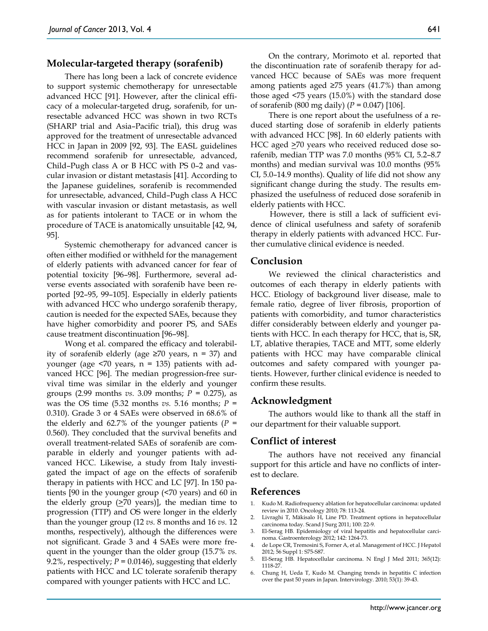## **Molecular-targeted therapy (sorafenib)**

There has long been a lack of concrete evidence to support systemic chemotherapy for unresectable advanced HCC [91]. However, after the clinical efficacy of a molecular-targeted drug, sorafenib, for unresectable advanced HCC was shown in two RCTs (SHARP trial and Asia–Pacific trial), this drug was approved for the treatment of unresectable advanced HCC in Japan in 2009 [92, 93]. The EASL guidelines recommend sorafenib for unresectable, advanced, Child–Pugh class A or B HCC with PS 0–2 and vascular invasion or distant metastasis [41]. According to the Japanese guidelines, sorafenib is recommended for unresectable, advanced, Child–Pugh class A HCC with vascular invasion or distant metastasis, as well as for patients intolerant to TACE or in whom the procedure of TACE is anatomically unsuitable [42, 94, 95].

Systemic chemotherapy for advanced cancer is often either modified or withheld for the management of elderly patients with advanced cancer for fear of potential toxicity [96–98]. Furthermore, several adverse events associated with sorafenib have been reported [92–95, 99–105]. Especially in elderly patients with advanced HCC who undergo sorafenib therapy, caution is needed for the expected SAEs, because they have higher comorbidity and poorer PS, and SAEs cause treatment discontinuation [96–98].

Wong et al. compared the efficacy and tolerability of sorafenib elderly (age ≥70 years, n = 37) and younger (age  $\leq 70$  years,  $n = 135$ ) patients with advanced HCC [96]. The median progression-free survival time was similar in the elderly and younger groups (2.99 months *vs.* 3.09 months; *P* = 0.275), as was the OS time  $(5.32 \text{ months } vs. 5.16 \text{ months}; P =$ 0.310). Grade 3 or 4 SAEs were observed in 68.6% of the elderly and 62.7% of the younger patients ( $P =$ 0.560). They concluded that the survival benefits and overall treatment-related SAEs of sorafenib are comparable in elderly and younger patients with advanced HCC. Likewise, a study from Italy investigated the impact of age on the effects of sorafenib therapy in patients with HCC and LC [97]. In 150 patients [90 in the younger group (<70 years) and 60 in the elderly group  $(≥70 \text{ years})$ ], the median time to progression (TTP) and OS were longer in the elderly than the younger group (12 *vs.* 8 months and 16 *vs.* 12 months, respectively), although the differences were not significant. Grade 3 and 4 SAEs were more frequent in the younger than the older group (15.7% *vs.* 9.2%, respectively;  $P = 0.0146$ ), suggesting that elderly patients with HCC and LC tolerate sorafenib therapy compared with younger patients with HCC and LC.

On the contrary, Morimoto et al. reported that the discontinuation rate of sorafenib therapy for advanced HCC because of SAEs was more frequent among patients aged  $\geq$ 75 years (41.7%) than among those aged <75 years (15.0%) with the standard dose of sorafenib (800 mg daily) (*P* = 0.047) [106].

There is one report about the usefulness of a reduced starting dose of sorafenib in elderly patients with advanced HCC [98]. In 60 elderly patients with HCC aged  $\geq$ 70 years who received reduced dose sorafenib, median TTP was 7.0 months (95% CI, 5.2–8.7 months) and median survival was 10.0 months (95% CI, 5.0–14.9 months). Quality of life did not show any significant change during the study. The results emphasized the usefulness of reduced dose sorafenib in elderly patients with HCC.

However, there is still a lack of sufficient evidence of clinical usefulness and safety of sorafenib therapy in elderly patients with advanced HCC. Further cumulative clinical evidence is needed.

### **Conclusion**

We reviewed the clinical characteristics and outcomes of each therapy in elderly patients with HCC. Etiology of background liver disease, male to female ratio, degree of liver fibrosis, proportion of patients with comorbidity, and tumor characteristics differ considerably between elderly and younger patients with HCC. In each therapy for HCC, that is, SR, LT, ablative therapies, TACE and MTT, some elderly patients with HCC may have comparable clinical outcomes and safety compared with younger patients. However, further clinical evidence is needed to confirm these results.

#### **Acknowledgment**

The authors would like to thank all the staff in our department for their valuable support.

#### **Conflict of interest**

The authors have not received any financial support for this article and have no conflicts of interest to declare.

#### **References**

- 1. Kudo M. Radiofrequency ablation for hepatocellular carcinoma: updated review in 2010. Oncology 2010; 78: 113-24.
- 2. Livraghi T, Mäkisalo H, Line PD. Treatment options in hepatocellular carcinoma today. Scand J Surg 2011; 100: 22-9.
- 3. El-Serag HB. Epidemiology of viral hepatitis and hepatocellular carcinoma. Gastroenterology 2012; 142: 1264-73.
- 4. de Lope CR, Tremosini S, Forner A, et al. Management of HCC. J Hepatol 2012; 56 Suppl 1: S75-S87.
- 5. El-Serag HB. Hepatocellular carcinoma. N Engl J Med 2011; 365(12): 1118-27.
- 6. Chung H, Ueda T, Kudo M. Changing trends in hepatitis C infection over the past 50 years in Japan. Intervirology. 2010; 53(1): 39-43.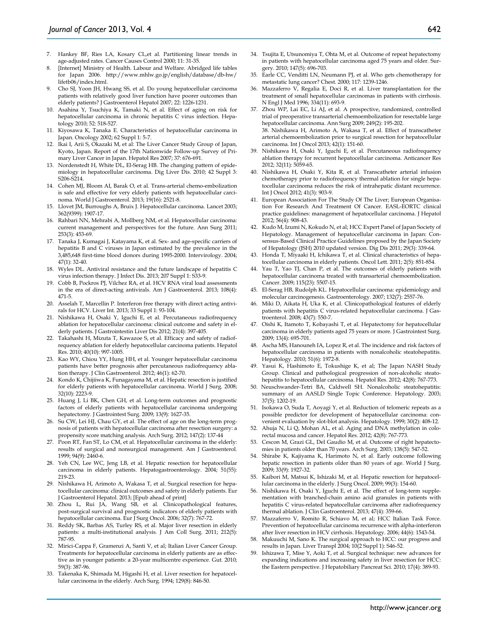- 7. Hankey BF, Ries LA, Kosary CL,et al. Partitioning linear trends in age-adjusted rates. Cancer Causes Control 2000; 11: 31-35.
- 8. [Internet] Ministry of Health. Labour and Welfare. Abridged life tables for Japan 2006. http://www.mhlw.go.jp/english/database/db-hw/ lifetb06/index.html.
- 9. Cho SJ, Yoon JH, Hwang SS, et al. Do young hepatocellular carcinoma patients with relatively good liver function have poorer outcomes than elderly patients? J Gastroenterol Hepatol 2007; 22: 1226-1231.
- 10. Asahina Y, Tsuchiya K, Tamaki N, et al. Effect of aging on risk for hepatocellular carcinoma in chronic hepatitis C virus infection. Hepatology 2010; 52: 518-527.
- 11. Kiyosawa K, Tanaka E. Characteristics of hepatocellular carcinoma in Japan. Oncology 2002; 62 Suppl 1: 5-7.
- 12. Ikai I, Arii S, Okazaki M, et al: The Liver Cancer Study Group of Japan, Kyoto, Japan. Report of the 17th Nationwide Follow-up Survey of Primary Liver Cancer in Japan. Hepatol Res 2007; 37: 676-691.
- 13. Nordenstedt H, White DL, El-Serag HB. The changing pattern of epidemiology in hepatocellular carcinoma. Dig Liver Dis. 2010; 42 Suppl 3: S206-S214.
- 14. Cohen MJ, Bloom AI, Barak O, et al. Trans-arterial chemo-embolization is safe and effective for very elderly patients with hepatocellular carcinoma. World J Gastroenterol. 2013; 19(16): 2521-8.
- 15. Llovet JM, Burroughs A, Bruix J. Hepatocellular carcinoma. Lancet 2003; 362(9399): 1907-17.
- 16. Rahbari NN, Mehrabi A, Mollberg NM, et al. Hepatocellular carcinoma: current management and perspectives for the future. Ann Surg 2011; 253(3): 453-69.
- 17. Tanaka J, Kumagai J, Katayama K, et al. Sex- and age-specific carriers of hepatitis B and C viruses in Japan estimated by the prevalence in the 3,485,648 first-time blood donors during 1995-2000. Intervirology. 2004; 47(1): 32-40.
- 18. Wyles DL. Antiviral resistance and the future landscape of hepatitis C virus infection therapy. J Infect Dis. 2013; 207 Suppl 1: S33-9.
- 19. Cobb B, Pockros PJ, Vilchez RA, et al. HCV RNA viral load assessments in the era of direct-acting antivirals. Am J Gastroenterol. 2013; 108(4): 471-5.
- 20. Asselah T, Marcellin P. Interferon free therapy with direct acting antivirals for HCV. Liver Int. 2013; 33 Suppl 1: 93-104.
- 21. Nishikawa H, Osaki Y, Iguchi E, et al. Percutaneous radiofrequency ablation for hepatocellular carcinoma: clinical outcome and safety in elderly patients. J Gastrointestin Liver Dis 2012; 21(4): 397-405.
- 22. Takahashi H, Mizuta T, Kawazoe S, et al. Efficacy and safety of radiofrequency ablation for elderly hepatocellular carcinoma patients. Hepatol Res. 2010; 40(10): 997-1005.
- 23. Kao WY, Chiou YY, Hung HH, et al. Younger hepatocellular carcinoma patients have better prognosis after percutaneous radiofrequency ablation therapy. J Clin Gastroenterol. 2012; 46(1): 62-70.
- 24. Kondo K, Chijiiwa K, Funagayama M, et al. Hepatic resection is justified for elderly patients with hepatocellular carcinoma. World J Surg. 2008; 32(10): 2223-9.
- 25. Huang J, Li BK, Chen GH, et al. Long-term outcomes and prognostic factors of elderly patients with hepatocellular carcinoma undergoing hepatectomy. J Gastrointest Surg. 2009; 13(9): 1627-35.
- 26. Su CW, Lei HJ, Chau GY, et al. The effect of age on the long-term prognosis of patients with hepatocellular carcinoma after resection surgery: a propensity score matching analysis. Arch Surg. 2012; 147(2): 137-44
- 27. Poon RT, Fan ST, Lo CM, et al. Hepatocellular carcinoma in the elderly: results of surgical and nonsurgical management. Am J Gastroenterol. 1999; 94(9): 2460-6.
- 28. Yeh CN, Lee WC, Jeng LB, et al. Hepatic resection for hepatocellular carcinoma in elderly patients. Hepatogastroenterology. 2004; 51(55): 219-23.
- 29. Nishikawa H, Arimoto A, Wakasa T, et al. Surgical resection for hepatocellular carcinoma: clinical outcomes and safety in elderly patients. Eur J Gastroenterol Hepatol. 2013; [Epub ahead of print]
- 30. Zhou L, Rui JA, Wang SB, et al. Clinicopathological features, post-surgical survival and prognostic indicators of elderly patients with hepatocellular carcinoma. Eur J Surg Oncol. 2006; 32(7): 767-72.
- 31. Reddy SK, Barbas AS, Turley RS, et al. Major liver resection in elderly patients: a multi-institutional analysis. J Am Coll Surg. 2011; 212(5): 787-95.
- 32. Mirici-Cappa F, Gramenzi A, Santi V, et al; Italian Liver Cancer Group. Treatments for hepatocellular carcinoma in elderly patients are as effective as in younger patients: a 20-year multicentre experience. Gut. 2010; 59(3): 387-96.
- 33. Takenaka K, Shimada M, Higashi H, et al. Liver resection for hepatocellular carcinoma in the elderly. Arch Surg. 1994; 129(8): 846-50.
- 34. Tsujita E, Utsunomiya T, Ohta M, et al. Outcome of repeat hepatectomy in patients with hepatocellular carcinoma aged 75 years and older. Surgery. 2010; 147(5): 696-703.
- 35. Earle CC, Venditti LN, Neumann PJ, et al. Who gets chemotherapy for metastatic lung cancer? Chest. 2000; 117: 1239-1246.
- 36. Mazzaferro V, Regalia E, Doci R, et al. Liver transplantation for the treatment of small hepatocellular carcinomas in patients with cirrhosis. N Engl J Med 1996; 334(11): 693-9.
- 37. Zhou WP, Lai EC, Li AJ, et al. A prospective, randomized, controlled trial of preoperative transarterial chemoembolization for resectable large hepatocellular carcinoma. Ann Surg 2009; 249(2): 195-202. 38. Nishikawa H, Arimoto A, Wakasa T, et al. Effect of transcatheter arterial chemoembolization prior to surgical resection for hepatocellular carcinoma. Int J Oncol 2013; 42(1): 151-60.
- 39. Nishikawa H, Osaki Y, Iguchi E, et al. Percutaneous radiofrequency ablation therapy for recurrent hepatocellular carcinoma. Anticancer Res 2012; 32(11): 5059-65.
- 40. Nishikawa H, Osaki Y, Kita R, et al. Transcatheter arterial infusion chemotherapy prior to radiofrequency thermal ablation for single hepatocellular carcinoma reduces the risk of intrahepatic distant recurrence. Int J Oncol 2012; 41(3): 903-9.
- 41. European Association For The Study Of The Liver; European Organisation For Research And Treatment Of Cancer. EASL-EORTC clinical practice guidelines: management of hepatocellular carcinoma. J Hepatol 2012; 56(4): 908-43.
- 42. Kudo M, Izumi N, Kokudo N, et al; HCC Expert Panel of Japan Society of Hepatology. Management of hepatocellular carcinoma in Japan: Consensus-Based Clinical Practice Guidelines proposed by the Japan Society of Hepatology (JSH) 2010 updated version. Dig Dis 2011; 29(3): 339-64.
- 43. Honda T, Miyaaki H, Ichikawa T, et al. Clinical characteristics of hepatocellular carcinoma in elderly patients. Oncol Lett. 2011; 2(5): 851-854.
- 44. Yau T, Yao TJ, Chan P, et al. The outcomes of elderly patients with hepatocellular carcinoma treated with transarterial chemoembolization. Cancer. 2009; 115(23): 5507-15.
- 45. El-Serag HB, Rudolph KL. Hepatocellular carcinoma: epidemiology and molecular carcinogenesis. Gastroenterology. 2007; 132(7): 2557-76.
- 46. Miki D, Aikata H, Uka K, et al. Clinicopathological features of elderly patients with hepatitis C virus-related hepatocellular carcinoma. J Gastroenterol. 2008; 43(7): 550-7.
- 47. Oishi K, Itamoto T, Kobayashi T, et al. Hepatectomy for hepatocellular carcinoma in elderly patients aged 75 years or more. J Gastrointest Surg. 2009; 13(4): 695-701.
- 48. Ascha MS, Hanouneh IA, Lopez R, et al. The incidence and risk factors of hepatocellular carcinoma in patients with nonalcoholic steatohepatitis. Hepatology. 2010; 51(6): 1972-8.
- Yasui K, Hashimoto E, Tokushige K, et al; The Japan NASH Study Group. Clinical and pathological progression of non-alcoholic steatohepatitis to hepatocellular carcinoma. Hepatol Res. 2012; 42(8): 767-773.
- 50. Neuschwander-Tetri BA, Caldwell SH. Nonalcoholic steatohepatitis: summary of an AASLD Single Topic Conference. Hepatology. 2003; 37(5): 1202-19.
- 51. Isokawa O, Suda T, Aoyagi Y, et al. Reduction of telomeric repeats as a possible predictor for development of hepatocellular carcinoma: convenient evaluation by slot-blot analysis. Hepatology. 1999; 30(2): 408-12.
- 52. Ahuja N, Li Q, Mohan AL, et al. Aging and DNA methylation in colorectal mucosa and cancer. Hepatol Res. 2012; 42(8): 767-773.
- 53. Cescon M, Grazi GL, Del Gaudio M, et al. Outcome of right hepatectomies in patients older than 70 years. Arch Surg. 2003; 138(5): 547-52.
- 54. Shirabe K, Kajiyama K, Harimoto N, et al. Early outcome following hepatic resection in patients older than 80 years of age. World J Surg. 2009; 33(9): 1927-32.
- 55. Kaibori M, Matsui K, Ishizaki M, et al. Hepatic resection for hepatocellular carcinoma in the elderly. J Surg Oncol. 2009; 99(3): 154-60.
- 56. Nishikawa H, Osaki Y, Iguchi E, et al. The effect of long-term supplementation with branched-chain amino acid granules in patients with hepatitis C virus-related hepatocellular carcinoma after radiofrequency thermal ablation. J Clin Gastroenterol. 2013; 47(4): 359-66.
- 57. Mazzaferro V, Romito R, Schiavo M, et al; HCC Italian Task Force. Prevention of hepatocellular carcinoma recurrence with alpha-interferon after liver resection in HCV cirrhosis. Hepatology. 2006; 44(6): 1543-54.
- 58. Makuuchi M, Sano K. The surgical approach to HCC: our progress and results in Japan. Liver Transpl 2004; 10(2 Suppl 1): S46-52.
- 59. Ishizawa T, Mise Y, Aoki T, et al. Surgical technique: new advances for expanding indications and increasing safety in liver resection for HCC: the Eastern perspective. J Hepatobiliary Pancreat Sci. 2010; 17(4): 389-93.